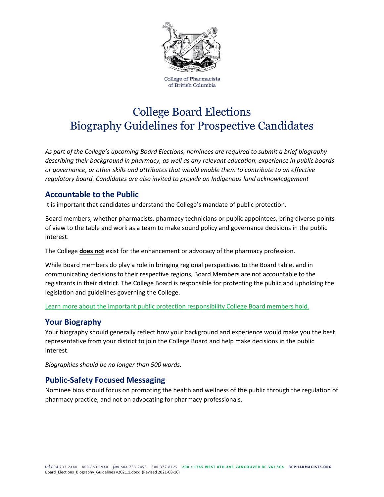

**College of Pharmacists** of British Columbia

# College Board Elections Biography Guidelines for Prospective Candidates

*As part of the College's upcoming Board Elections, nominees are required to submit a brief biography describing their background in pharmacy, as well as any relevant education, experience in public boards or governance, or other skills and attributes that would enable them to contribute to an effective regulatory board. Candidates are also invited to provide an Indigenous land acknowledgement*

### **Accountable to the Public**

It is important that candidates understand the College's mandate of public protection.

Board members, whether pharmacists, pharmacy technicians or public appointees, bring diverse points of view to the table and work as a team to make sound policy and governance decisions in the public interest.

The College **does not** exist for the enhancement or advocacy of the pharmacy profession.

While Board members do play a role in bringing regional perspectives to the Board table, and in communicating decisions to their respective regions, Board Members are not accountable to the registrants in their district. The College Board is responsible for protecting the public and upholding the legislation and guidelines governing the College.

[Learn more about the important public protection responsibility College Board members hold.](https://bcpharmacists.org/college-board-information)

#### **Your Biography**

Your biography should generally reflect how your background and experience would make you the best representative from your district to join the College Board and help make decisions in the public interest.

*Biographies should be no longer than 500 words.* 

#### **Public-Safety Focused Messaging**

Nominee bios should focus on promoting the health and wellness of the public through the regulation of pharmacy practice, and not on advocating for pharmacy professionals.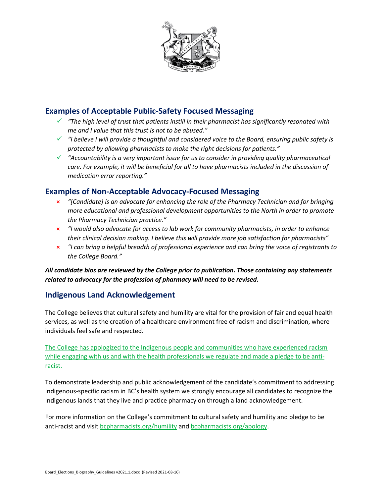

## **Examples of Acceptable Public-Safety Focused Messaging**

- ✓ *"The high level of trust that patients instill in their pharmacist has significantly resonated with me and I value that this trust is not to be abused."*
- ✓ *"I believe I will provide a thoughtful and considered voice to the Board, ensuring public safety is protected by allowing pharmacists to make the right decisions for patients."*
- ✓ *"Accountability is a very important issue for us to consider in providing quality pharmaceutical care. For example, it will be beneficial for all to have pharmacists included in the discussion of medication error reporting."*

## **Examples of Non-Acceptable Advocacy-Focused Messaging**

- **×** *"[Candidate] is an advocate for enhancing the role of the Pharmacy Technician and for bringing more educational and professional development opportunities to the North in order to promote the Pharmacy Technician practice."*
- **×** *"I would also advocate for access to lab work for community pharmacists, in order to enhance their clinical decision making. I believe this will provide more job satisfaction for pharmacists"*
- **×** *"I can bring a helpful breadth of professional experience and can bring the voice of registrants to the College Board."*

*All candidate bios are reviewed by the College prior to publication. Those containing any statements related to advocacy for the profession of pharmacy will need to be revised.* 

## **Indigenous Land Acknowledgement**

The College believes that cultural safety and humility are vital for the provision of fair and equal health services, as well as the creation of a healthcare environment free of racism and discrimination, where individuals feel safe and respected.

[The College has apologized to the Indigenous people and communities who have experienced racism](https://www.bcpharmacists.org/news/racism-health-care-apology-indigenous-people-and-pledge-be-anti-racist)  [while engaging with us and with the health professionals we regulate and made a pledge to be anti](https://www.bcpharmacists.org/news/racism-health-care-apology-indigenous-people-and-pledge-be-anti-racist)[racist.](https://www.bcpharmacists.org/news/racism-health-care-apology-indigenous-people-and-pledge-be-anti-racist)

To demonstrate leadership and public acknowledgement of the candidate's commitment to addressing Indigenous-specific racism in BC's health system we strongly encourage all candidates to recognize the Indigenous lands that they live and practice pharmacy on through a land acknowledgement.

For more information on the College's commitment to cultural safety and humility and pledge to be anti-racist and visit [bcpharmacists.org/humility](https://www.bcpharmacists.org/humility) and [bcpharmacists.org/apology.](https://www.bcpharmacists.org/apology)